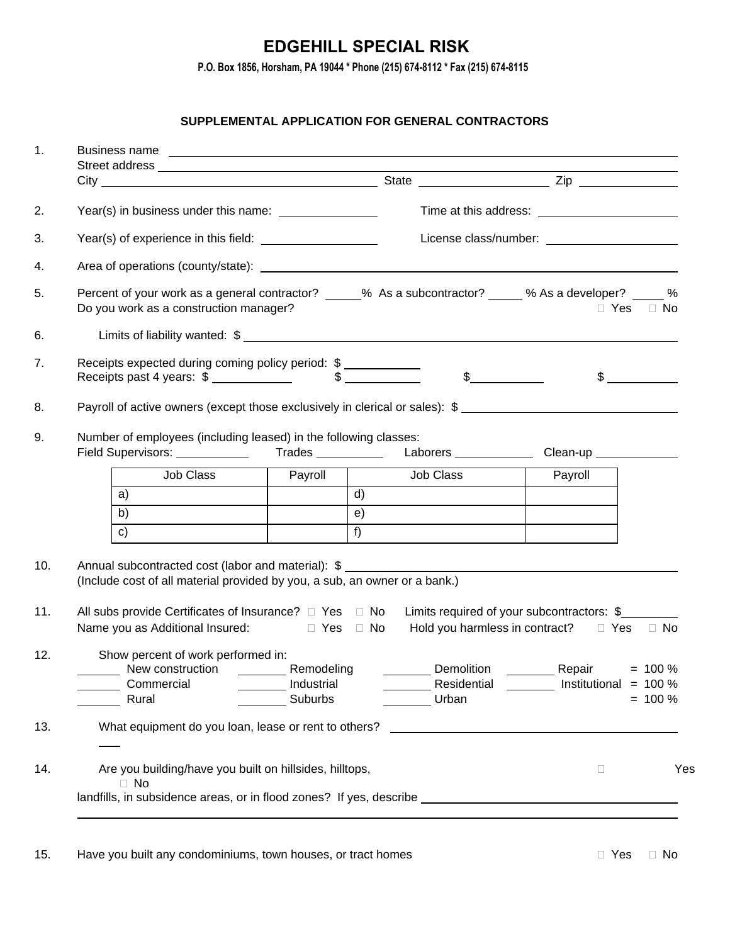## **EDGEHILL SPECIAL RISK**

**P.O. Box 1856, Horsham, PA 19044 \* Phone (215) 674-8112 \* Fax (215) 674-8115**

## **SUPPLEMENTAL APPLICATION FOR GENERAL CONTRACTORS**

| 1.  | Business name example and the set of the set of the set of the set of the set of the set of the set of the set of the set of the set of the set of the set of the set of the set of the set of the set of the set of the set o |                      |                                                            |                                                                                                                                |  |  |  |  |  |
|-----|--------------------------------------------------------------------------------------------------------------------------------------------------------------------------------------------------------------------------------|----------------------|------------------------------------------------------------|--------------------------------------------------------------------------------------------------------------------------------|--|--|--|--|--|
|     |                                                                                                                                                                                                                                |                      |                                                            |                                                                                                                                |  |  |  |  |  |
| 2.  |                                                                                                                                                                                                                                |                      |                                                            |                                                                                                                                |  |  |  |  |  |
|     |                                                                                                                                                                                                                                |                      |                                                            |                                                                                                                                |  |  |  |  |  |
| 3.  |                                                                                                                                                                                                                                |                      |                                                            |                                                                                                                                |  |  |  |  |  |
| 4.  |                                                                                                                                                                                                                                |                      |                                                            |                                                                                                                                |  |  |  |  |  |
| 5.  | Do you work as a construction manager?                                                                                                                                                                                         |                      |                                                            | Percent of your work as a general contractor? _____% As a subcontractor? _____% As a developer? _____%<br>$\Box$ Yes $\Box$ No |  |  |  |  |  |
| 6.  |                                                                                                                                                                                                                                |                      |                                                            |                                                                                                                                |  |  |  |  |  |
| 7.  | Receipts expected during coming policy period: \$<br>Receipts past 4 years: \$                                                                                                                                                 |                      |                                                            | $\frac{1}{2}$<br>$\frac{1}{2}$                                                                                                 |  |  |  |  |  |
| 8.  |                                                                                                                                                                                                                                |                      |                                                            | Payroll of active owners (except those exclusively in clerical or sales): \$                                                   |  |  |  |  |  |
| 9.  | Number of employees (including leased) in the following classes:                                                                                                                                                               |                      |                                                            |                                                                                                                                |  |  |  |  |  |
|     |                                                                                                                                                                                                                                |                      |                                                            | Field Supervisors: _____________  Trades ___________ Laborers ______________Clean-up _____________                             |  |  |  |  |  |
|     | Job Class                                                                                                                                                                                                                      | Payroll              | Job Class                                                  | Payroll                                                                                                                        |  |  |  |  |  |
|     | a)                                                                                                                                                                                                                             | d)                   |                                                            |                                                                                                                                |  |  |  |  |  |
|     | b)                                                                                                                                                                                                                             | (e)                  | <u> 1989 - Johann Stoff, amerikansk politiker (* 1908)</u> |                                                                                                                                |  |  |  |  |  |
|     | c)                                                                                                                                                                                                                             | $f$ )                |                                                            |                                                                                                                                |  |  |  |  |  |
| 10. | Annual subcontracted cost (labor and material): \$                                                                                                                                                                             |                      |                                                            |                                                                                                                                |  |  |  |  |  |
|     | (Include cost of all material provided by you, a sub, an owner or a bank.)                                                                                                                                                     |                      |                                                            |                                                                                                                                |  |  |  |  |  |
| 11. | All subs provide Certificates of Insurance? $\Box$ Yes $\Box$ No                                                                                                                                                               |                      |                                                            | Limits required of your subcontractors: \$                                                                                     |  |  |  |  |  |
|     | Name you as Additional Insured:                                                                                                                                                                                                | $\Box$ Yes $\Box$ No |                                                            | Hold you harmless in contract? □ Yes □ No                                                                                      |  |  |  |  |  |
| 12. | Show percent of work performed in:                                                                                                                                                                                             |                      |                                                            |                                                                                                                                |  |  |  |  |  |
|     | New construction <b>New Construction</b>                                                                                                                                                                                       |                      |                                                            | Demolition <b>Constant Construent</b> Repair<br>$= 100 \%$                                                                     |  |  |  |  |  |
|     | Commercial                                                                                                                                                                                                                     | Industrial           | Residential<br>Urban                                       | Institutional = $100\%$                                                                                                        |  |  |  |  |  |
|     | Rural                                                                                                                                                                                                                          | Suburbs              |                                                            | $= 100 \%$                                                                                                                     |  |  |  |  |  |
|     |                                                                                                                                                                                                                                |                      |                                                            |                                                                                                                                |  |  |  |  |  |
| 13. | What equipment do you loan, lease or rent to others?                                                                                                                                                                           |                      | <u> 1989 - Johann Stein, fransk politik (f. 1989)</u>      |                                                                                                                                |  |  |  |  |  |
| 14. | Are you building/have you built on hillsides, hilltops,<br>$\Box$ No                                                                                                                                                           |                      |                                                            | Yes<br>□                                                                                                                       |  |  |  |  |  |

15. Have you built any condominiums, town houses, or tract homes  $\square$  Yes  $\square$  No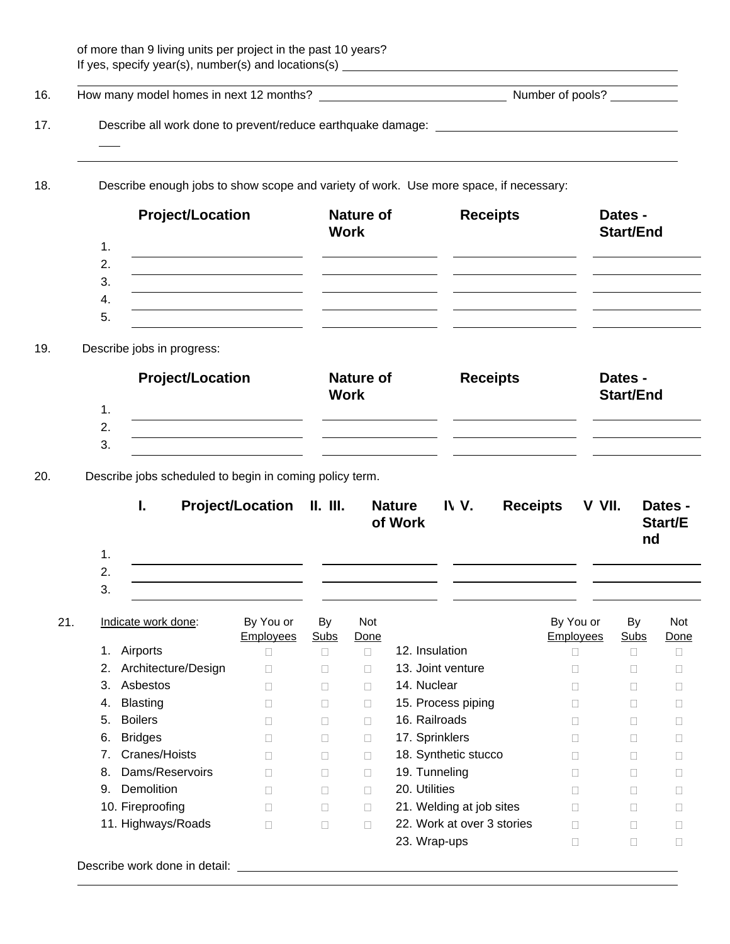|     | of more than 9 living units per project in the past 10 years?<br>If yes, specify year(s), number(s) and locations(s) |                  |  |  |  |  |
|-----|----------------------------------------------------------------------------------------------------------------------|------------------|--|--|--|--|
| 16. | How many model homes in next 12 months?                                                                              | Number of pools? |  |  |  |  |
| 17. | Describe all work done to prevent/reduce earthquake damage:                                                          |                  |  |  |  |  |
|     |                                                                                                                      |                  |  |  |  |  |

18. Describe enough jobs to show scope and variety of work. Use more space, if necessary:

|         | <b>Project/Location</b> | <b>Nature of</b><br><b>Work</b> | <b>Receipts</b> | Dates -<br><b>Start/End</b> |
|---------|-------------------------|---------------------------------|-----------------|-----------------------------|
| 1<br>л. |                         |                                 |                 |                             |
| 2.      |                         |                                 |                 |                             |
| 3.      |                         |                                 |                 |                             |
| 4.      |                         |                                 |                 |                             |
| 5.      |                         |                                 |                 |                             |

|                | <b>Project/Location</b> | <b>Nature of</b><br><b>Work</b> | <b>Receipts</b> | Dates -<br><b>Start/End</b> |
|----------------|-------------------------|---------------------------------|-----------------|-----------------------------|
| . .<br>ົ<br>۷. |                         |                                 |                 |                             |
| 3.             |                         |                                 |                 |                             |

20. Describe jobs scheduled to begin in coming policy term.

| I.                        | <b>Project/Location</b>       | II. III.   |                    | IV.<br><b>Receipts</b><br><b>Nature</b><br>of Work | V VII.                        | nd                | Dates -<br>Start/E |
|---------------------------|-------------------------------|------------|--------------------|----------------------------------------------------|-------------------------------|-------------------|--------------------|
| 1.                        |                               |            |                    |                                                    |                               |                   |                    |
| 2.<br>3.                  |                               |            |                    |                                                    |                               |                   |                    |
| Indicate work done:       | By You or<br><b>Employees</b> | By<br>Subs | <b>Not</b><br>Done |                                                    | By You or<br><b>Employees</b> | By<br><b>Subs</b> | <b>Not</b><br>Done |
| Airports<br>1.            | □                             | П          | $\Box$             | 12. Insulation                                     | П                             | П                 | $\Box$             |
| Architecture/Design<br>2. | П                             | П          | $\Box$             | 13. Joint venture                                  |                               | П                 | П                  |
| 3.<br>Asbestos            | П                             | П          | $\Box$             | 14. Nuclear                                        |                               | П                 | П                  |
| <b>Blasting</b><br>4.     | П                             | П          | $\Box$             | 15. Process piping                                 | П                             | П                 | $\Box$             |
| <b>Boilers</b><br>5.      | П                             | П          | П                  | 16. Railroads                                      |                               | П                 | □                  |
| <b>Bridges</b><br>6.      | П                             | П          | П                  | 17. Sprinklers                                     |                               | П                 | П                  |
| Cranes/Hoists<br>7.       | П                             | П          | П                  | 18. Synthetic stucco                               |                               | П                 | □                  |
| Dams/Reservoirs<br>8.     | □                             | П          | $\Box$             | 19. Tunneling                                      | П                             | $\Box$            | $\Box$             |
| Demolition<br>9.          | П                             | П          | $\Box$             | 20. Utilities                                      |                               | П                 | П                  |
| 10. Fireproofing          | П                             | П          | $\Box$             | 21. Welding at job sites                           | П                             | П                 | $\Box$             |
| 11. Highways/Roads        | □                             | П          | $\Box$             | 22. Work at over 3 stories                         | П                             | 0                 | □                  |
|                           |                               |            |                    | 23. Wrap-ups                                       | П                             | $\Box$            | $\Box$             |